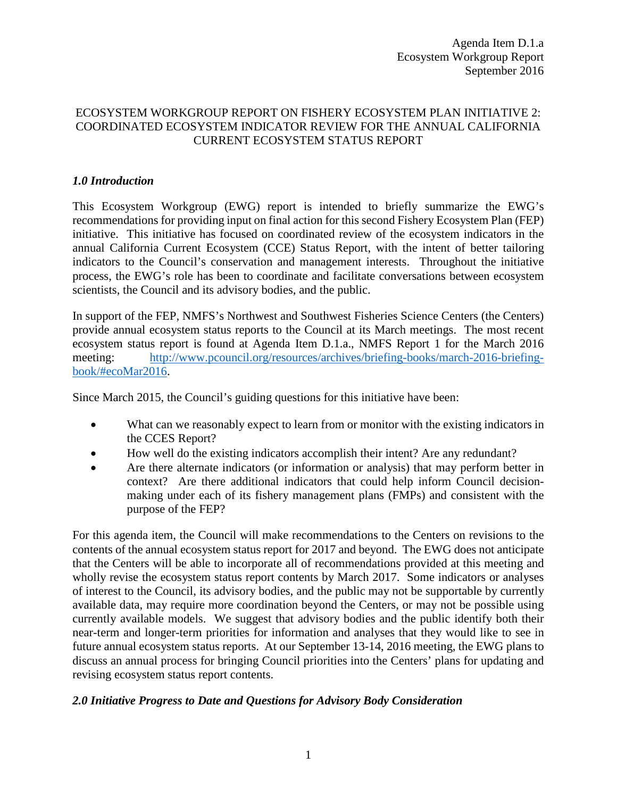## ECOSYSTEM WORKGROUP REPORT ON FISHERY ECOSYSTEM PLAN INITIATIVE 2: COORDINATED ECOSYSTEM INDICATOR REVIEW FOR THE ANNUAL CALIFORNIA CURRENT ECOSYSTEM STATUS REPORT

## *1.0 Introduction*

This Ecosystem Workgroup (EWG) report is intended to briefly summarize the EWG's recommendations for providing input on final action for this second Fishery Ecosystem Plan (FEP) initiative. This initiative has focused on coordinated review of the ecosystem indicators in the annual California Current Ecosystem (CCE) Status Report, with the intent of better tailoring indicators to the Council's conservation and management interests. Throughout the initiative process, the EWG's role has been to coordinate and facilitate conversations between ecosystem scientists, the Council and its advisory bodies, and the public.

In support of the FEP, NMFS's Northwest and Southwest Fisheries Science Centers (the Centers) provide annual ecosystem status reports to the Council at its March meetings. The most recent ecosystem status report is found at Agenda Item D.1.a., NMFS Report 1 for the March 2016 meeting: [http://www.pcouncil.org/resources/archives/briefing-books/march-2016-briefing](http://www.pcouncil.org/resources/archives/briefing-books/march-2016-briefing-book/#ecoMar2016)[book/#ecoMar2016.](http://www.pcouncil.org/resources/archives/briefing-books/march-2016-briefing-book/#ecoMar2016)

Since March 2015, the Council's guiding questions for this initiative have been:

- What can we reasonably expect to learn from or monitor with the existing indicators in the CCES Report?
- How well do the existing indicators accomplish their intent? Are any redundant?
- Are there alternate indicators (or information or analysis) that may perform better in context? Are there additional indicators that could help inform Council decisionmaking under each of its fishery management plans (FMPs) and consistent with the purpose of the FEP?

For this agenda item, the Council will make recommendations to the Centers on revisions to the contents of the annual ecosystem status report for 2017 and beyond. The EWG does not anticipate that the Centers will be able to incorporate all of recommendations provided at this meeting and wholly revise the ecosystem status report contents by March 2017. Some indicators or analyses of interest to the Council, its advisory bodies, and the public may not be supportable by currently available data, may require more coordination beyond the Centers, or may not be possible using currently available models. We suggest that advisory bodies and the public identify both their near-term and longer-term priorities for information and analyses that they would like to see in future annual ecosystem status reports. At our September 13-14, 2016 meeting, the EWG plans to discuss an annual process for bringing Council priorities into the Centers' plans for updating and revising ecosystem status report contents.

## *2.0 Initiative Progress to Date and Questions for Advisory Body Consideration*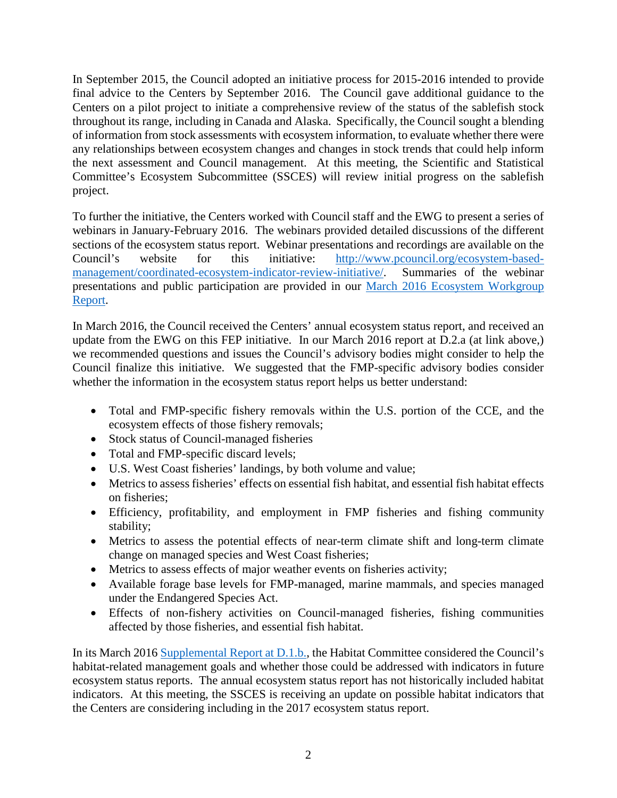In September 2015, the Council adopted an initiative process for 2015-2016 intended to provide final advice to the Centers by September 2016. The Council gave additional guidance to the Centers on a pilot project to initiate a comprehensive review of the status of the sablefish stock throughout its range, including in Canada and Alaska. Specifically, the Council sought a blending of information from stock assessments with ecosystem information, to evaluate whether there were any relationships between ecosystem changes and changes in stock trends that could help inform the next assessment and Council management. At this meeting, the Scientific and Statistical Committee's Ecosystem Subcommittee (SSCES) will review initial progress on the sablefish project.

To further the initiative, the Centers worked with Council staff and the EWG to present a series of webinars in January-February 2016. The webinars provided detailed discussions of the different sections of the ecosystem status report. Webinar presentations and recordings are available on the Council's website for this initiative: [http://www.pcouncil.org/ecosystem-based](http://www.pcouncil.org/ecosystem-based-management/coordinated-ecosystem-indicator-review-initiative/)[management/coordinated-ecosystem-indicator-review-initiative/.](http://www.pcouncil.org/ecosystem-based-management/coordinated-ecosystem-indicator-review-initiative/) Summaries of the webinar presentations and public participation are provided in our [March 2016 Ecosystem Workgroup](http://www.pcouncil.org/wp-content/uploads/2016/02/D2a_EWG_Rpt_MAR2016BB.pdf)  [Report.](http://www.pcouncil.org/wp-content/uploads/2016/02/D2a_EWG_Rpt_MAR2016BB.pdf)

In March 2016, the Council received the Centers' annual ecosystem status report, and received an update from the EWG on this FEP initiative. In our March 2016 report at D.2.a (at link above,) we recommended questions and issues the Council's advisory bodies might consider to help the Council finalize this initiative. We suggested that the FMP-specific advisory bodies consider whether the information in the ecosystem status report helps us better understand:

- Total and FMP-specific fishery removals within the U.S. portion of the CCE, and the ecosystem effects of those fishery removals;
- Stock status of Council-managed fisheries
- Total and FMP-specific discard levels;
- U.S. West Coast fisheries' landings, by both volume and value;
- Metrics to assess fisheries' effects on essential fish habitat, and essential fish habitat effects on fisheries;
- Efficiency, profitability, and employment in FMP fisheries and fishing community stability;
- Metrics to assess the potential effects of near-term climate shift and long-term climate change on managed species and West Coast fisheries;
- Metrics to assess effects of major weather events on fisheries activity;
- Available forage base levels for FMP-managed, marine mammals, and species managed under the Endangered Species Act.
- Effects of non-fishery activities on Council-managed fisheries, fishing communities affected by those fisheries, and essential fish habitat.

In its March 2016 [Supplemental Report at D.1.b.,](http://www.pcouncil.org/wp-content/uploads/2016/03/D1b_Sup_HC_Rpt_MAR2016BB.pdf) the Habitat Committee considered the Council's habitat-related management goals and whether those could be addressed with indicators in future ecosystem status reports. The annual ecosystem status report has not historically included habitat indicators. At this meeting, the SSCES is receiving an update on possible habitat indicators that the Centers are considering including in the 2017 ecosystem status report.